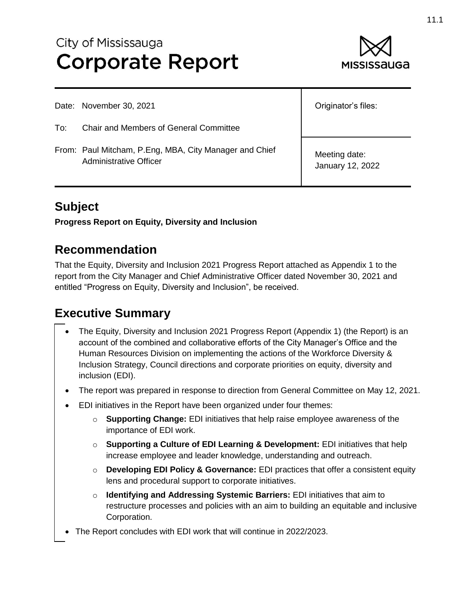# City of Mississauga **Corporate Report**



|     | Date: November 30, 2021                                                          | Originator's files:               |
|-----|----------------------------------------------------------------------------------|-----------------------------------|
| To: | <b>Chair and Members of General Committee</b>                                    |                                   |
|     | From: Paul Mitcham, P.Eng, MBA, City Manager and Chief<br>Administrative Officer | Meeting date:<br>January 12, 2022 |

## **Subject**

**Progress Report on Equity, Diversity and Inclusion**

#### **Recommendation**

That the Equity, Diversity and Inclusion 2021 Progress Report attached as Appendix 1 to the report from the City Manager and Chief Administrative Officer dated November 30, 2021 and entitled "Progress on Equity, Diversity and Inclusion", be received.

#### **Executive Summary**

- The Equity, Diversity and Inclusion 2021 Progress Report (Appendix 1) (the Report) is an account of the combined and collaborative efforts of the City Manager's Office and the Human Resources Division on implementing the actions of the Workforce Diversity & Inclusion Strategy, Council directions and corporate priorities on equity, diversity and inclusion (EDI).
- The report was prepared in response to direction from General Committee on May 12, 2021.
- EDI initiatives in the Report have been organized under four themes:
	- o **Supporting Change:** EDI initiatives that help raise employee awareness of the importance of EDI work.
	- o **Supporting a Culture of EDI Learning & Development:** EDI initiatives that help increase employee and leader knowledge, understanding and outreach.
	- o **Developing EDI Policy & Governance:** EDI practices that offer a consistent equity lens and procedural support to corporate initiatives.
	- o **Identifying and Addressing Systemic Barriers:** EDI initiatives that aim to restructure processes and policies with an aim to building an equitable and inclusive Corporation.
- The Report concludes with EDI work that will continue in 2022/2023.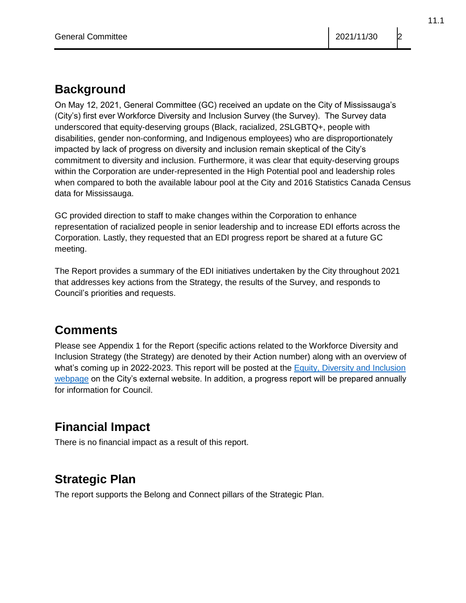### **Background**

On May 12, 2021, General Committee (GC) received an update on the City of Mississauga's (City's) first ever Workforce Diversity and Inclusion Survey (the Survey). The Survey data underscored that equity-deserving groups (Black, racialized, 2SLGBTQ+, people with disabilities, gender non-conforming, and Indigenous employees) who are disproportionately impacted by lack of progress on diversity and inclusion remain skeptical of the City's commitment to diversity and inclusion. Furthermore, it was clear that equity-deserving groups within the Corporation are under-represented in the High Potential pool and leadership roles when compared to both the available labour pool at the City and 2016 Statistics Canada Census data for Mississauga.

GC provided direction to staff to make changes within the Corporation to enhance representation of racialized people in senior leadership and to increase EDI efforts across the Corporation. Lastly, they requested that an EDI progress report be shared at a future GC meeting.

The Report provides a summary of the EDI initiatives undertaken by the City throughout 2021 that addresses key actions from the Strategy, the results of the Survey, and responds to Council's priorities and requests.

## **Comments**

Please see Appendix 1 for the Report (specific actions related to the Workforce Diversity and Inclusion Strategy (the Strategy) are denoted by their Action number) along with an overview of what's coming up in 2022-2023. This report will be posted at the **Equity**, Diversity and Inclusion [webpage](https://www.mississauga.ca/projects-and-strategies/city-projects/equity-diversity-and-inclusion/) on the City's external website. In addition, a progress report will be prepared annually for information for Council.

# **Financial Impact**

There is no financial impact as a result of this report.

# **Strategic Plan**

The report supports the Belong and Connect pillars of the Strategic Plan.